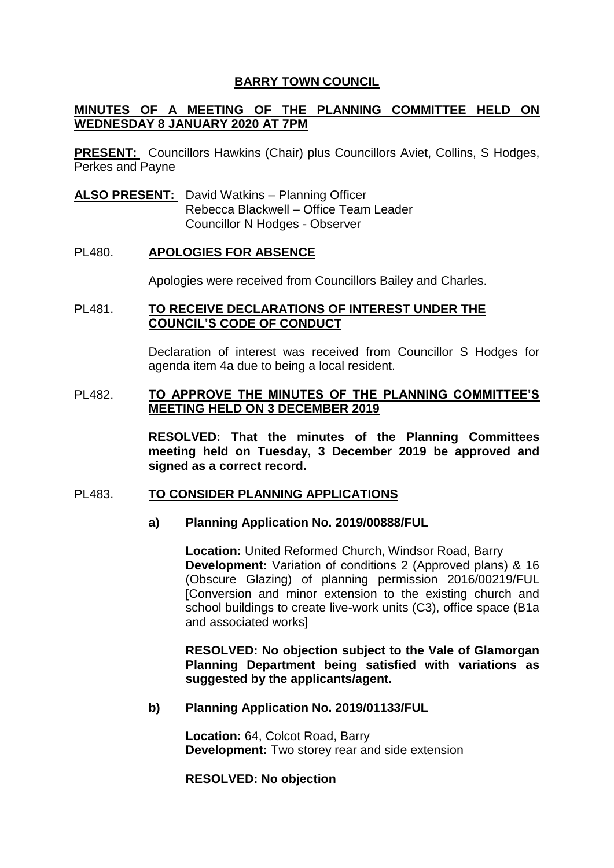# **BARRY TOWN COUNCIL**

# **MINUTES OF A MEETING OF THE PLANNING COMMITTEE HELD ON WEDNESDAY 8 JANUARY 2020 AT 7PM**

**PRESENT:** Councillors Hawkins (Chair) plus Councillors Aviet, Collins, S Hodges, Perkes and Payne

**ALSO PRESENT:** David Watkins – Planning Officer Rebecca Blackwell – Office Team Leader Councillor N Hodges - Observer

## PL480. **APOLOGIES FOR ABSENCE**

Apologies were received from Councillors Bailey and Charles.

### PL481. **TO RECEIVE DECLARATIONS OF INTEREST UNDER THE COUNCIL'S CODE OF CONDUCT**

Declaration of interest was received from Councillor S Hodges for agenda item 4a due to being a local resident.

### PL482. **TO APPROVE THE MINUTES OF THE PLANNING COMMITTEE'S MEETING HELD ON 3 DECEMBER 2019**

**RESOLVED: That the minutes of the Planning Committees meeting held on Tuesday, 3 December 2019 be approved and signed as a correct record.** 

#### PL483. **TO CONSIDER PLANNING APPLICATIONS**

# **a) Planning Application No. 2019/00888/FUL**

**Location:** United Reformed Church, Windsor Road, Barry **Development:** Variation of conditions 2 (Approved plans) & 16 (Obscure Glazing) of planning permission 2016/00219/FUL [Conversion and minor extension to the existing church and school buildings to create live-work units (C3), office space (B1a and associated works]

**RESOLVED: No objection subject to the Vale of Glamorgan Planning Department being satisfied with variations as suggested by the applicants/agent.**

#### **b) Planning Application No. 2019/01133/FUL**

**Location:** 64, Colcot Road, Barry **Development:** Two storey rear and side extension

**RESOLVED: No objection**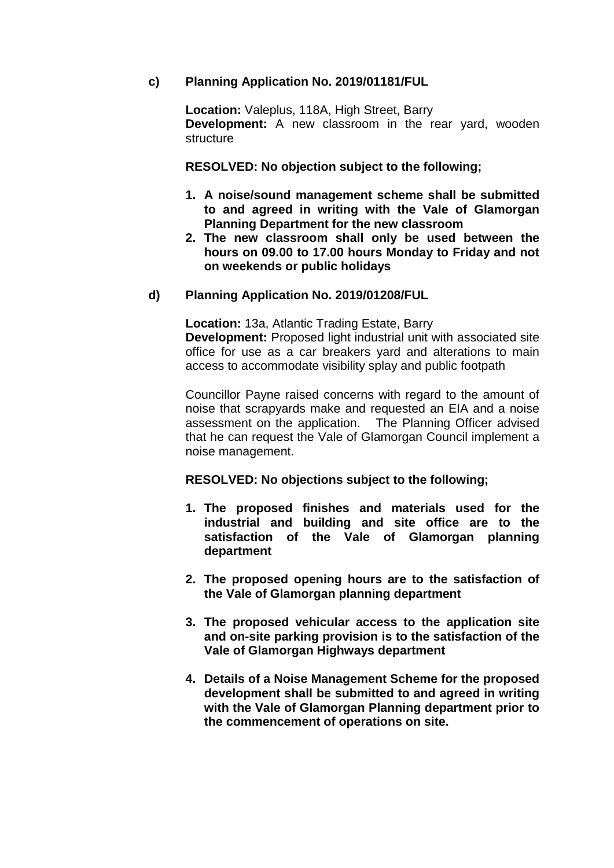# **c) Planning Application No. 2019/01181/FUL**

**Location:** Valeplus, 118A, High Street, Barry **Development:** A new classroom in the rear yard, wooden structure

**RESOLVED: No objection subject to the following;**

- **1. A noise/sound management scheme shall be submitted to and agreed in writing with the Vale of Glamorgan Planning Department for the new classroom**
- **2. The new classroom shall only be used between the hours on 09.00 to 17.00 hours Monday to Friday and not on weekends or public holidays**

## **d) Planning Application No. 2019/01208/FUL**

**Location:** 13a, Atlantic Trading Estate, Barry **Development:** Proposed light industrial unit with associated site office for use as a car breakers yard and alterations to main access to accommodate visibility splay and public footpath

Councillor Payne raised concerns with regard to the amount of noise that scrapyards make and requested an EIA and a noise assessment on the application. The Planning Officer advised that he can request the Vale of Glamorgan Council implement a noise management.

#### **RESOLVED: No objections subject to the following;**

- **1. The proposed finishes and materials used for the industrial and building and site office are to the satisfaction of the Vale of Glamorgan planning department**
- **2. The proposed opening hours are to the satisfaction of the Vale of Glamorgan planning department**
- **3. The proposed vehicular access to the application site and on-site parking provision is to the satisfaction of the Vale of Glamorgan Highways department**
- **4. Details of a Noise Management Scheme for the proposed development shall be submitted to and agreed in writing with the Vale of Glamorgan Planning department prior to the commencement of operations on site.**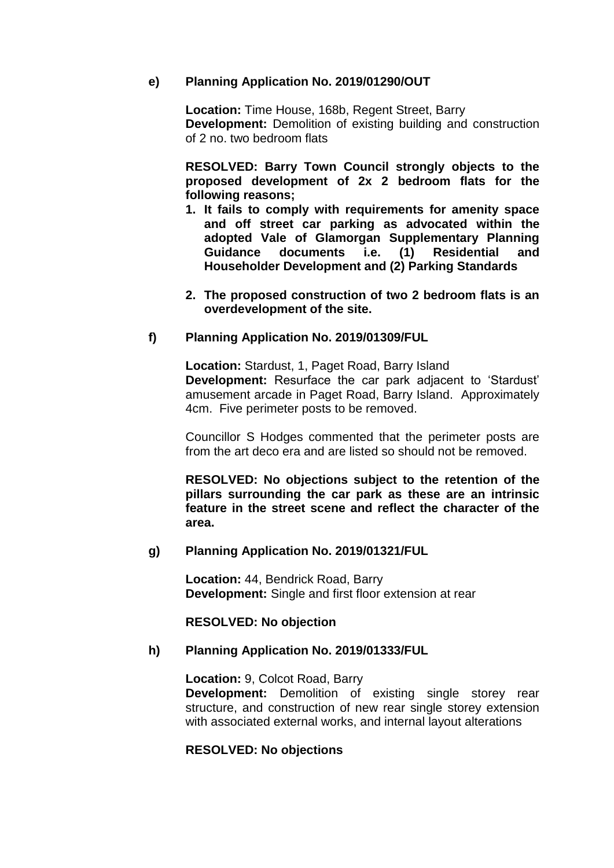## **e) Planning Application No. 2019/01290/OUT**

**Location:** Time House, 168b, Regent Street, Barry **Development:** Demolition of existing building and construction of 2 no. two bedroom flats

**RESOLVED: Barry Town Council strongly objects to the proposed development of 2x 2 bedroom flats for the following reasons;** 

- **1. It fails to comply with requirements for amenity space and off street car parking as advocated within the adopted Vale of Glamorgan Supplementary Planning Guidance documents i.e. (1) Residential and Householder Development and (2) Parking Standards**
- **2. The proposed construction of two 2 bedroom flats is an overdevelopment of the site.**

## **f) Planning Application No. 2019/01309/FUL**

**Location:** Stardust, 1, Paget Road, Barry Island **Development:** Resurface the car park adjacent to 'Stardust' amusement arcade in Paget Road, Barry Island. Approximately 4cm. Five perimeter posts to be removed.

Councillor S Hodges commented that the perimeter posts are from the art deco era and are listed so should not be removed.

**RESOLVED: No objections subject to the retention of the pillars surrounding the car park as these are an intrinsic feature in the street scene and reflect the character of the area.**

## **g) Planning Application No. 2019/01321/FUL**

**Location:** 44, Bendrick Road, Barry **Development:** Single and first floor extension at rear

#### **RESOLVED: No objection**

#### **h) Planning Application No. 2019/01333/FUL**

**Location:** 9, Colcot Road, Barry **Development:** Demolition of existing single storey rear structure, and construction of new rear single storey extension with associated external works, and internal layout alterations

# **RESOLVED: No objections**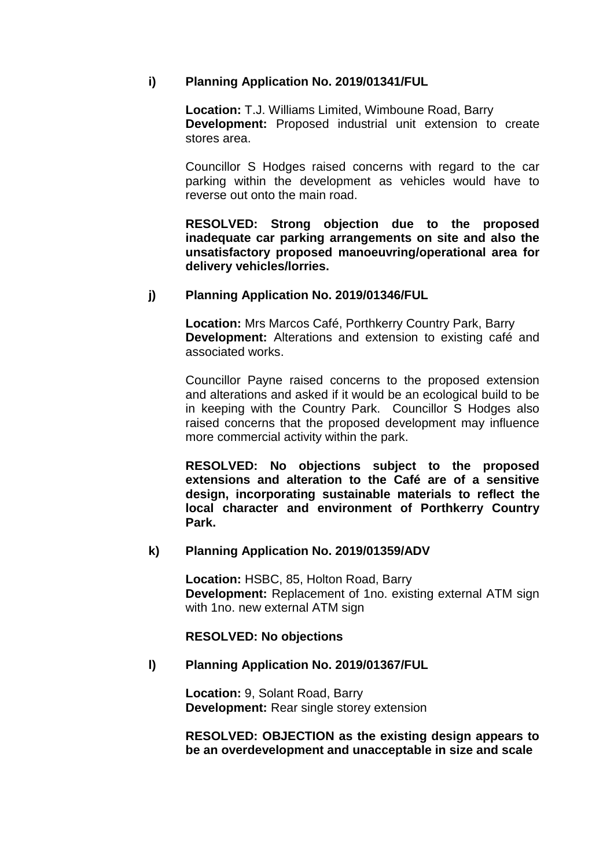# **i) Planning Application No. 2019/01341/FUL**

**Location:** T.J. Williams Limited, Wimboune Road, Barry **Development:** Proposed industrial unit extension to create stores area.

Councillor S Hodges raised concerns with regard to the car parking within the development as vehicles would have to reverse out onto the main road.

**RESOLVED: Strong objection due to the proposed inadequate car parking arrangements on site and also the unsatisfactory proposed manoeuvring/operational area for delivery vehicles/lorries.** 

# **j) Planning Application No. 2019/01346/FUL**

**Location:** Mrs Marcos Café, Porthkerry Country Park, Barry **Development:** Alterations and extension to existing café and associated works.

Councillor Payne raised concerns to the proposed extension and alterations and asked if it would be an ecological build to be in keeping with the Country Park. Councillor S Hodges also raised concerns that the proposed development may influence more commercial activity within the park.

**RESOLVED: No objections subject to the proposed extensions and alteration to the Café are of a sensitive design, incorporating sustainable materials to reflect the local character and environment of Porthkerry Country Park.** 

# **k) Planning Application No. 2019/01359/ADV**

**Location:** HSBC, 85, Holton Road, Barry **Development:** Replacement of 1no. existing external ATM sign with 1no. new external ATM sign

**RESOLVED: No objections**

# **l) Planning Application No. 2019/01367/FUL**

**Location:** 9, Solant Road, Barry **Development:** Rear single storey extension

**RESOLVED: OBJECTION as the existing design appears to be an overdevelopment and unacceptable in size and scale**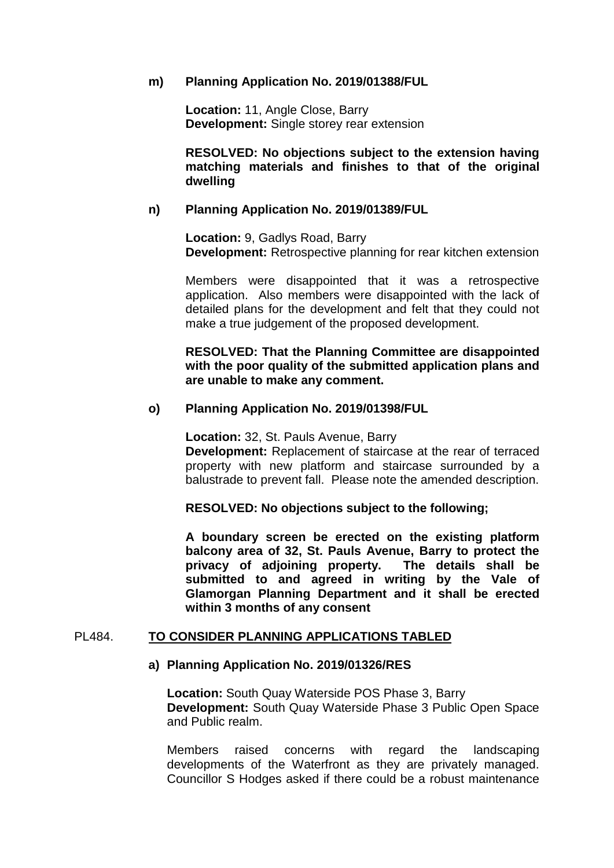### **m) Planning Application No. 2019/01388/FUL**

**Location:** 11, Angle Close, Barry **Development:** Single storey rear extension

**RESOLVED: No objections subject to the extension having matching materials and finishes to that of the original dwelling**

### **n) Planning Application No. 2019/01389/FUL**

**Location:** 9, Gadlys Road, Barry **Development:** Retrospective planning for rear kitchen extension

Members were disappointed that it was a retrospective application. Also members were disappointed with the lack of detailed plans for the development and felt that they could not make a true judgement of the proposed development.

## **RESOLVED: That the Planning Committee are disappointed with the poor quality of the submitted application plans and are unable to make any comment.**

## **o) Planning Application No. 2019/01398/FUL**

**Location:** 32, St. Pauls Avenue, Barry **Development:** Replacement of staircase at the rear of terraced property with new platform and staircase surrounded by a balustrade to prevent fall. Please note the amended description.

#### **RESOLVED: No objections subject to the following;**

**A boundary screen be erected on the existing platform balcony area of 32, St. Pauls Avenue, Barry to protect the privacy of adjoining property. The details shall be submitted to and agreed in writing by the Vale of Glamorgan Planning Department and it shall be erected within 3 months of any consent**

#### PL484. **TO CONSIDER PLANNING APPLICATIONS TABLED**

#### **a) Planning Application No. 2019/01326/RES**

**Location:** South Quay Waterside POS Phase 3, Barry **Development:** South Quay Waterside Phase 3 Public Open Space and Public realm.

Members raised concerns with regard the landscaping developments of the Waterfront as they are privately managed. Councillor S Hodges asked if there could be a robust maintenance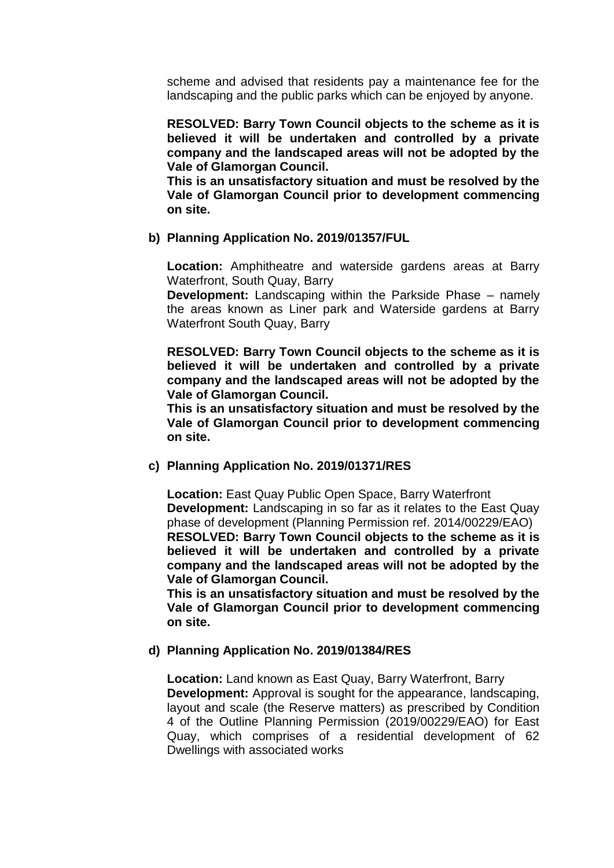scheme and advised that residents pay a maintenance fee for the landscaping and the public parks which can be enjoyed by anyone.

**RESOLVED: Barry Town Council objects to the scheme as it is believed it will be undertaken and controlled by a private company and the landscaped areas will not be adopted by the Vale of Glamorgan Council.** 

**This is an unsatisfactory situation and must be resolved by the Vale of Glamorgan Council prior to development commencing on site.**

## **b) Planning Application No. 2019/01357/FUL**

**Location:** Amphitheatre and waterside gardens areas at Barry Waterfront, South Quay, Barry

**Development:** Landscaping within the Parkside Phase – namely the areas known as Liner park and Waterside gardens at Barry Waterfront South Quay, Barry

**RESOLVED: Barry Town Council objects to the scheme as it is believed it will be undertaken and controlled by a private company and the landscaped areas will not be adopted by the Vale of Glamorgan Council.** 

**This is an unsatisfactory situation and must be resolved by the Vale of Glamorgan Council prior to development commencing on site.**

# **c) Planning Application No. 2019/01371/RES**

**Location:** East Quay Public Open Space, Barry Waterfront **Development:** Landscaping in so far as it relates to the East Quay phase of development (Planning Permission ref. 2014/00229/EAO) **RESOLVED: Barry Town Council objects to the scheme as it is believed it will be undertaken and controlled by a private company and the landscaped areas will not be adopted by the Vale of Glamorgan Council.** 

**This is an unsatisfactory situation and must be resolved by the Vale of Glamorgan Council prior to development commencing on site.**

#### **d) Planning Application No. 2019/01384/RES**

**Location:** Land known as East Quay, Barry Waterfront, Barry **Development:** Approval is sought for the appearance, landscaping, layout and scale (the Reserve matters) as prescribed by Condition 4 of the Outline Planning Permission (2019/00229/EAO) for East Quay, which comprises of a residential development of 62 Dwellings with associated works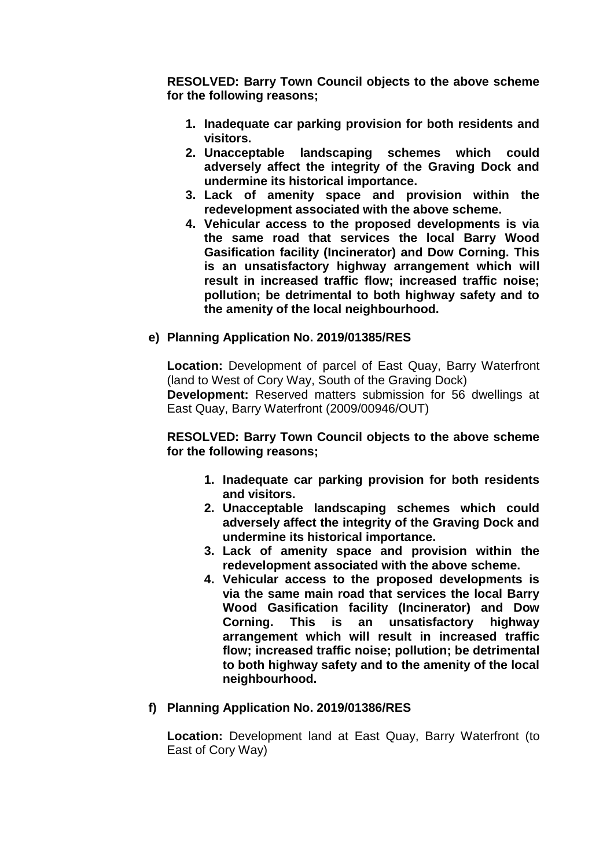**RESOLVED: Barry Town Council objects to the above scheme for the following reasons;**

- **1. Inadequate car parking provision for both residents and visitors.**
- **2. Unacceptable landscaping schemes which could adversely affect the integrity of the Graving Dock and undermine its historical importance.**
- **3. Lack of amenity space and provision within the redevelopment associated with the above scheme.**
- **4. Vehicular access to the proposed developments is via the same road that services the local Barry Wood Gasification facility (Incinerator) and Dow Corning. This is an unsatisfactory highway arrangement which will result in increased traffic flow; increased traffic noise; pollution; be detrimental to both highway safety and to the amenity of the local neighbourhood.**

# **e) Planning Application No. 2019/01385/RES**

**Location:** Development of parcel of East Quay, Barry Waterfront (land to West of Cory Way, South of the Graving Dock) **Development:** Reserved matters submission for 56 dwellings at East Quay, Barry Waterfront (2009/00946/OUT)

**RESOLVED: Barry Town Council objects to the above scheme for the following reasons;**

- **1. Inadequate car parking provision for both residents and visitors.**
- **2. Unacceptable landscaping schemes which could adversely affect the integrity of the Graving Dock and undermine its historical importance.**
- **3. Lack of amenity space and provision within the redevelopment associated with the above scheme.**
- **4. Vehicular access to the proposed developments is via the same main road that services the local Barry Wood Gasification facility (Incinerator) and Dow Corning. This is an unsatisfactory highway arrangement which will result in increased traffic flow; increased traffic noise; pollution; be detrimental to both highway safety and to the amenity of the local neighbourhood.**

# **f) Planning Application No. 2019/01386/RES**

**Location:** Development land at East Quay, Barry Waterfront (to East of Cory Way)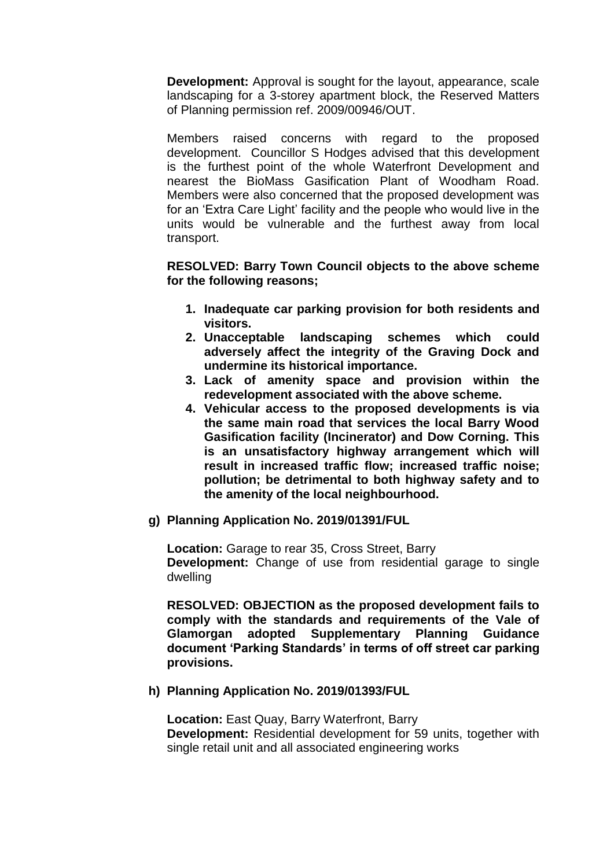**Development:** Approval is sought for the layout, appearance, scale landscaping for a 3-storey apartment block, the Reserved Matters of Planning permission ref. 2009/00946/OUT.

Members raised concerns with regard to the proposed development. Councillor S Hodges advised that this development is the furthest point of the whole Waterfront Development and nearest the BioMass Gasification Plant of Woodham Road. Members were also concerned that the proposed development was for an 'Extra Care Light' facility and the people who would live in the units would be vulnerable and the furthest away from local transport.

**RESOLVED: Barry Town Council objects to the above scheme for the following reasons;**

- **1. Inadequate car parking provision for both residents and visitors.**
- **2. Unacceptable landscaping schemes which could adversely affect the integrity of the Graving Dock and undermine its historical importance.**
- **3. Lack of amenity space and provision within the redevelopment associated with the above scheme.**
- **4. Vehicular access to the proposed developments is via the same main road that services the local Barry Wood Gasification facility (Incinerator) and Dow Corning. This is an unsatisfactory highway arrangement which will result in increased traffic flow; increased traffic noise; pollution; be detrimental to both highway safety and to the amenity of the local neighbourhood.**
- **g) Planning Application No. 2019/01391/FUL**

**Location:** Garage to rear 35, Cross Street, Barry **Development:** Change of use from residential garage to single dwelling

**RESOLVED: OBJECTION as the proposed development fails to comply with the standards and requirements of the Vale of Glamorgan adopted Supplementary Planning Guidance document 'Parking Standards' in terms of off street car parking provisions.** 

# **h) Planning Application No. 2019/01393/FUL**

**Location:** East Quay, Barry Waterfront, Barry **Development:** Residential development for 59 units, together with single retail unit and all associated engineering works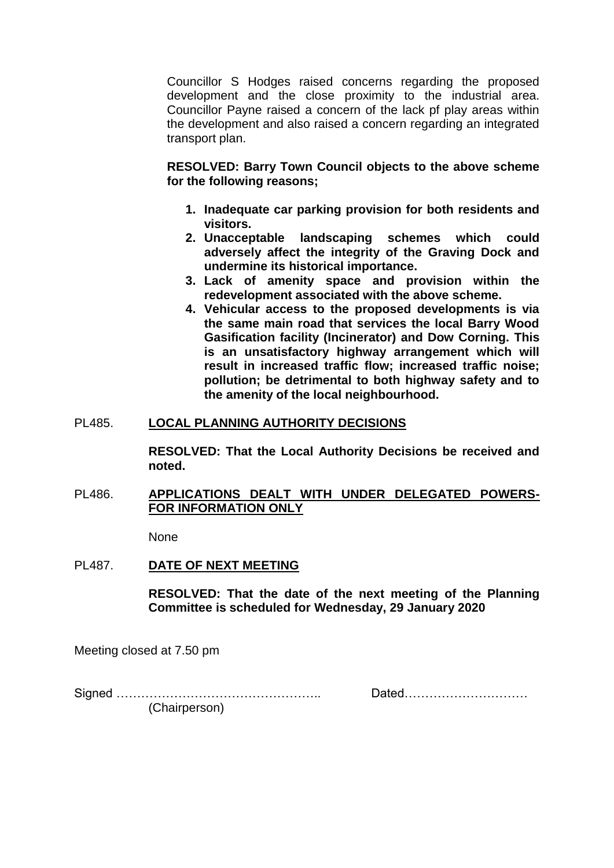Councillor S Hodges raised concerns regarding the proposed development and the close proximity to the industrial area. Councillor Payne raised a concern of the lack pf play areas within the development and also raised a concern regarding an integrated transport plan.

**RESOLVED: Barry Town Council objects to the above scheme for the following reasons;**

- **1. Inadequate car parking provision for both residents and visitors.**
- **2. Unacceptable landscaping schemes which could adversely affect the integrity of the Graving Dock and undermine its historical importance.**
- **3. Lack of amenity space and provision within the redevelopment associated with the above scheme.**
- **4. Vehicular access to the proposed developments is via the same main road that services the local Barry Wood Gasification facility (Incinerator) and Dow Corning. This is an unsatisfactory highway arrangement which will result in increased traffic flow; increased traffic noise; pollution; be detrimental to both highway safety and to the amenity of the local neighbourhood.**

# PL485. **LOCAL PLANNING AUTHORITY DECISIONS**

**RESOLVED: That the Local Authority Decisions be received and noted.** 

## PL486. **APPLICATIONS DEALT WITH UNDER DELEGATED POWERS-FOR INFORMATION ONLY**

None

# PL487. **DATE OF NEXT MEETING**

**RESOLVED: That the date of the next meeting of the Planning Committee is scheduled for Wednesday, 29 January 2020** 

Meeting closed at 7.50 pm

Signed ………………………………………….. Dated…………………………

(Chairperson)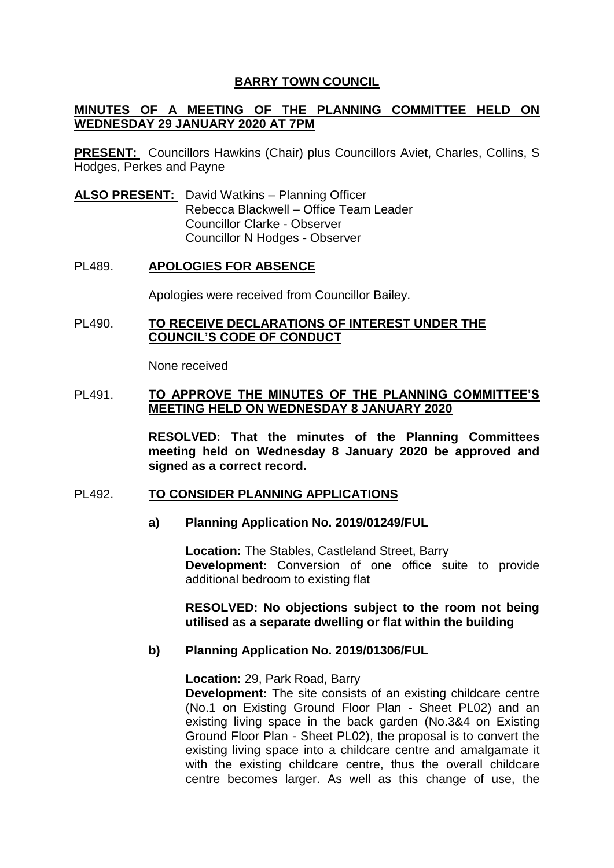# **BARRY TOWN COUNCIL**

## **MINUTES OF A MEETING OF THE PLANNING COMMITTEE HELD ON WEDNESDAY 29 JANUARY 2020 AT 7PM**

**PRESENT:** Councillors Hawkins (Chair) plus Councillors Aviet, Charles, Collins, S Hodges, Perkes and Payne

**ALSO PRESENT:** David Watkins – Planning Officer Rebecca Blackwell – Office Team Leader Councillor Clarke - Observer Councillor N Hodges - Observer

#### PL489. **APOLOGIES FOR ABSENCE**

Apologies were received from Councillor Bailey.

### PL490. **TO RECEIVE DECLARATIONS OF INTEREST UNDER THE COUNCIL'S CODE OF CONDUCT**

None received

#### PL491. **TO APPROVE THE MINUTES OF THE PLANNING COMMITTEE'S MEETING HELD ON WEDNESDAY 8 JANUARY 2020**

**RESOLVED: That the minutes of the Planning Committees meeting held on Wednesday 8 January 2020 be approved and signed as a correct record.** 

#### PL492. **TO CONSIDER PLANNING APPLICATIONS**

#### **a) Planning Application No. 2019/01249/FUL**

**Location:** The Stables, Castleland Street, Barry **Development:** Conversion of one office suite to provide additional bedroom to existing flat

**RESOLVED: No objections subject to the room not being utilised as a separate dwelling or flat within the building** 

#### **b) Planning Application No. 2019/01306/FUL**

**Location:** 29, Park Road, Barry

**Development:** The site consists of an existing childcare centre (No.1 on Existing Ground Floor Plan - Sheet PL02) and an existing living space in the back garden (No.3&4 on Existing Ground Floor Plan - Sheet PL02), the proposal is to convert the existing living space into a childcare centre and amalgamate it with the existing childcare centre, thus the overall childcare centre becomes larger. As well as this change of use, the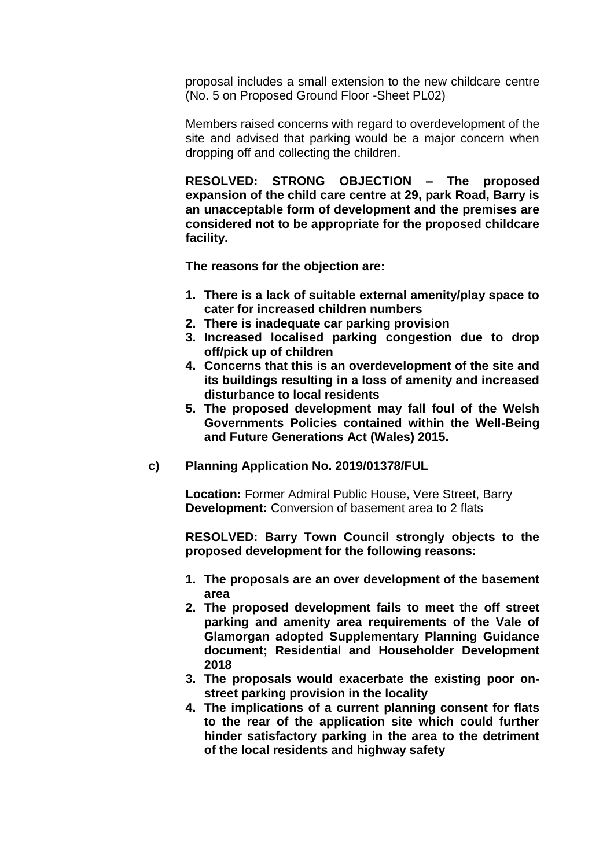proposal includes a small extension to the new childcare centre (No. 5 on Proposed Ground Floor -Sheet PL02)

Members raised concerns with regard to overdevelopment of the site and advised that parking would be a major concern when dropping off and collecting the children.

**RESOLVED: STRONG OBJECTION – The proposed expansion of the child care centre at 29, park Road, Barry is an unacceptable form of development and the premises are considered not to be appropriate for the proposed childcare facility.** 

**The reasons for the objection are:** 

- **1. There is a lack of suitable external amenity/play space to cater for increased children numbers**
- **2. There is inadequate car parking provision**
- **3. Increased localised parking congestion due to drop off/pick up of children**
- **4. Concerns that this is an overdevelopment of the site and its buildings resulting in a loss of amenity and increased disturbance to local residents**
- **5. The proposed development may fall foul of the Welsh Governments Policies contained within the Well-Being and Future Generations Act (Wales) 2015.**
- **c) Planning Application No. 2019/01378/FUL**

**Location:** Former Admiral Public House, Vere Street, Barry **Development:** Conversion of basement area to 2 flats

**RESOLVED: Barry Town Council strongly objects to the proposed development for the following reasons:**

- **1. The proposals are an over development of the basement area**
- **2. The proposed development fails to meet the off street parking and amenity area requirements of the Vale of Glamorgan adopted Supplementary Planning Guidance document; Residential and Householder Development 2018**
- **3. The proposals would exacerbate the existing poor onstreet parking provision in the locality**
- **4. The implications of a current planning consent for flats to the rear of the application site which could further hinder satisfactory parking in the area to the detriment of the local residents and highway safety**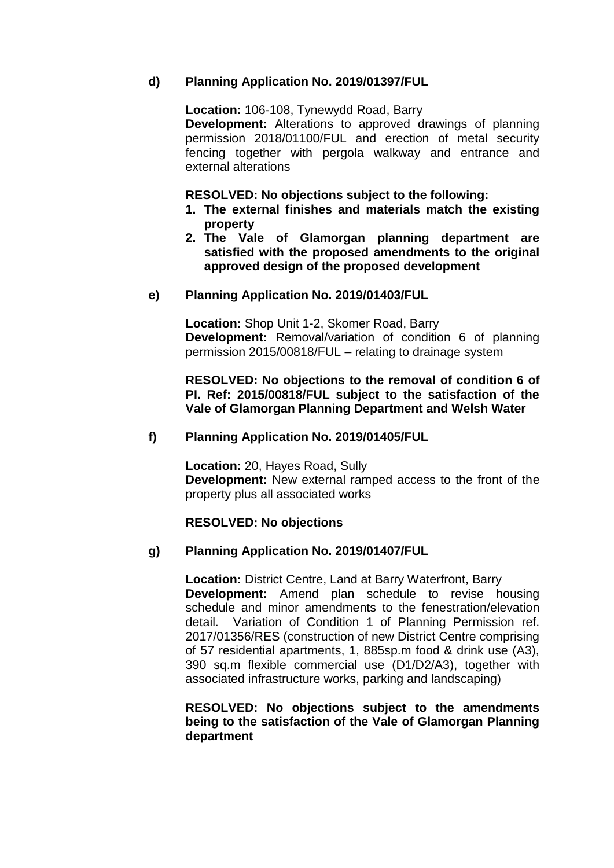# **d) Planning Application No. 2019/01397/FUL**

**Location:** 106-108, Tynewydd Road, Barry

**Development:** Alterations to approved drawings of planning permission 2018/01100/FUL and erection of metal security fencing together with pergola walkway and entrance and external alterations

**RESOLVED: No objections subject to the following:** 

- **1. The external finishes and materials match the existing property**
- **2. The Vale of Glamorgan planning department are satisfied with the proposed amendments to the original approved design of the proposed development**

# **e) Planning Application No. 2019/01403/FUL**

**Location:** Shop Unit 1-2, Skomer Road, Barry **Development:** Removal/variation of condition 6 of planning permission 2015/00818/FUL – relating to drainage system

**RESOLVED: No objections to the removal of condition 6 of PI. Ref: 2015/00818/FUL subject to the satisfaction of the Vale of Glamorgan Planning Department and Welsh Water** 

## **f) Planning Application No. 2019/01405/FUL**

**Location:** 20, Hayes Road, Sully **Development:** New external ramped access to the front of the property plus all associated works

#### **RESOLVED: No objections**

# **g) Planning Application No. 2019/01407/FUL**

**Location:** District Centre, Land at Barry Waterfront, Barry **Development:** Amend plan schedule to revise housing schedule and minor amendments to the fenestration/elevation detail. Variation of Condition 1 of Planning Permission ref. 2017/01356/RES (construction of new District Centre comprising of 57 residential apartments, 1, 885sp.m food & drink use (A3), 390 sq.m flexible commercial use (D1/D2/A3), together with associated infrastructure works, parking and landscaping)

## **RESOLVED: No objections subject to the amendments being to the satisfaction of the Vale of Glamorgan Planning department**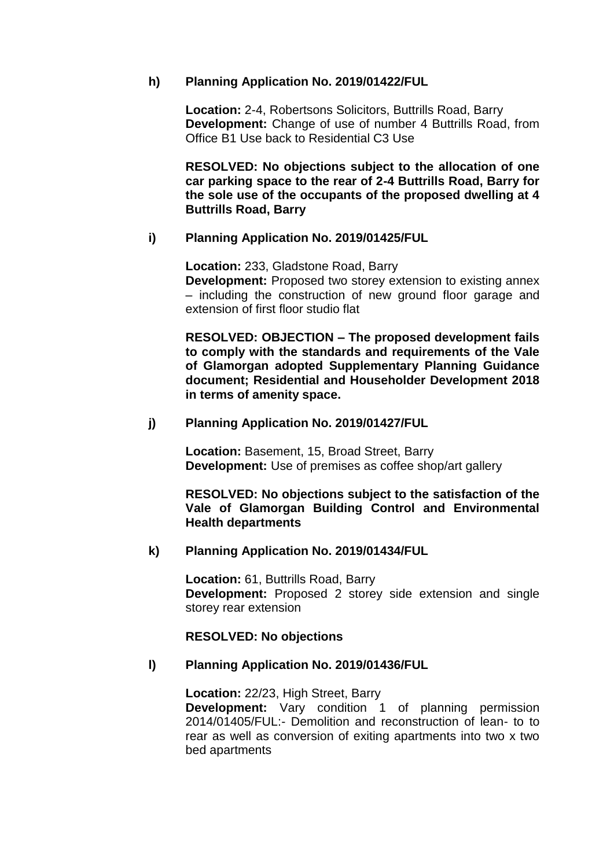# **h) Planning Application No. 2019/01422/FUL**

**Location:** 2-4, Robertsons Solicitors, Buttrills Road, Barry **Development:** Change of use of number 4 Buttrills Road, from Office B1 Use back to Residential C3 Use

**RESOLVED: No objections subject to the allocation of one car parking space to the rear of 2-4 Buttrills Road, Barry for the sole use of the occupants of the proposed dwelling at 4 Buttrills Road, Barry** 

## **i) Planning Application No. 2019/01425/FUL**

**Location:** 233, Gladstone Road, Barry

**Development:** Proposed two storey extension to existing annex – including the construction of new ground floor garage and extension of first floor studio flat

**RESOLVED: OBJECTION – The proposed development fails to comply with the standards and requirements of the Vale of Glamorgan adopted Supplementary Planning Guidance document; Residential and Householder Development 2018 in terms of amenity space.** 

## **j) Planning Application No. 2019/01427/FUL**

**Location:** Basement, 15, Broad Street, Barry **Development:** Use of premises as coffee shop/art gallery

**RESOLVED: No objections subject to the satisfaction of the Vale of Glamorgan Building Control and Environmental Health departments** 

#### **k) Planning Application No. 2019/01434/FUL**

**Location:** 61, Buttrills Road, Barry **Development:** Proposed 2 storey side extension and single storey rear extension

#### **RESOLVED: No objections**

# **l) Planning Application No. 2019/01436/FUL**

**Location:** 22/23, High Street, Barry **Development:** Vary condition 1 of planning permission 2014/01405/FUL:- Demolition and reconstruction of lean- to to rear as well as conversion of exiting apartments into two x two bed apartments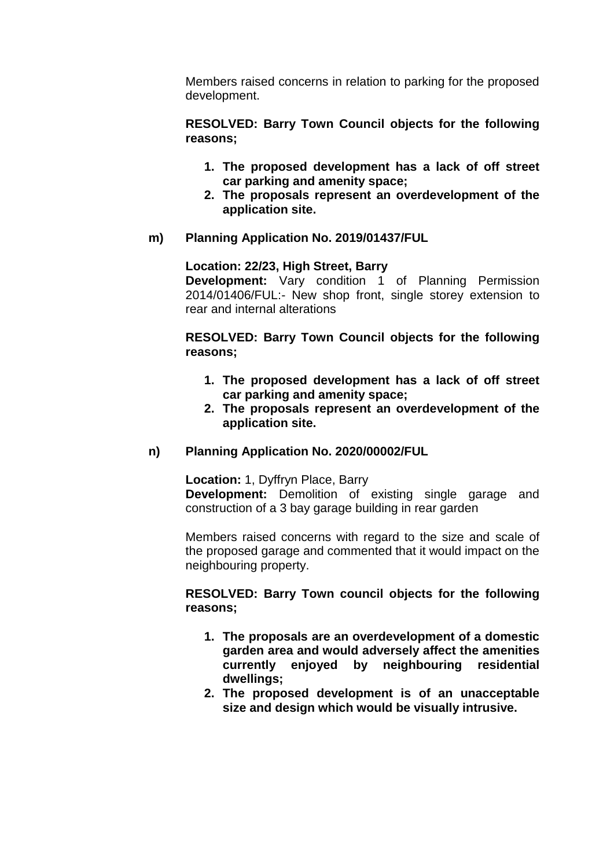Members raised concerns in relation to parking for the proposed development.

**RESOLVED: Barry Town Council objects for the following reasons;** 

- **1. The proposed development has a lack of off street car parking and amenity space;**
- **2. The proposals represent an overdevelopment of the application site.**
- **m) Planning Application No. 2019/01437/FUL**

**Location: 22/23, High Street, Barry** 

**Development:** Vary condition 1 of Planning Permission 2014/01406/FUL:- New shop front, single storey extension to rear and internal alterations

**RESOLVED: Barry Town Council objects for the following reasons;** 

- **1. The proposed development has a lack of off street car parking and amenity space;**
- **2. The proposals represent an overdevelopment of the application site.**

#### **n) Planning Application No. 2020/00002/FUL**

**Location:** 1, Dyffryn Place, Barry

**Development:** Demolition of existing single garage and construction of a 3 bay garage building in rear garden

Members raised concerns with regard to the size and scale of the proposed garage and commented that it would impact on the neighbouring property.

**RESOLVED: Barry Town council objects for the following reasons;** 

- **1. The proposals are an overdevelopment of a domestic garden area and would adversely affect the amenities currently enjoyed by neighbouring residential dwellings;**
- **2. The proposed development is of an unacceptable size and design which would be visually intrusive.**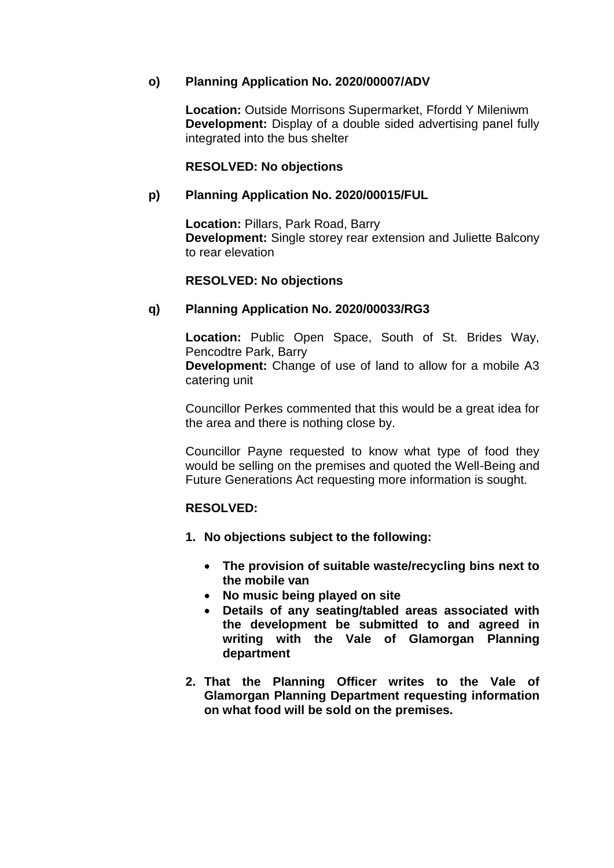# **o) Planning Application No. 2020/00007/ADV**

**Location:** Outside Morrisons Supermarket, Ffordd Y Mileniwm **Development:** Display of a double sided advertising panel fully integrated into the bus shelter

# **RESOLVED: No objections**

# **p) Planning Application No. 2020/00015/FUL**

**Location:** Pillars, Park Road, Barry **Development:** Single storey rear extension and Juliette Balcony to rear elevation

# **RESOLVED: No objections**

# **q) Planning Application No. 2020/00033/RG3**

**Location:** Public Open Space, South of St. Brides Way, Pencodtre Park, Barry **Development:** Change of use of land to allow for a mobile A3 catering unit

Councillor Perkes commented that this would be a great idea for the area and there is nothing close by.

Councillor Payne requested to know what type of food they would be selling on the premises and quoted the Well-Being and Future Generations Act requesting more information is sought.

# **RESOLVED:**

- **1. No objections subject to the following:**
	- **The provision of suitable waste/recycling bins next to the mobile van**
	- **No music being played on site**
	- **Details of any seating/tabled areas associated with the development be submitted to and agreed in writing with the Vale of Glamorgan Planning department**
- **2. That the Planning Officer writes to the Vale of Glamorgan Planning Department requesting information on what food will be sold on the premises.**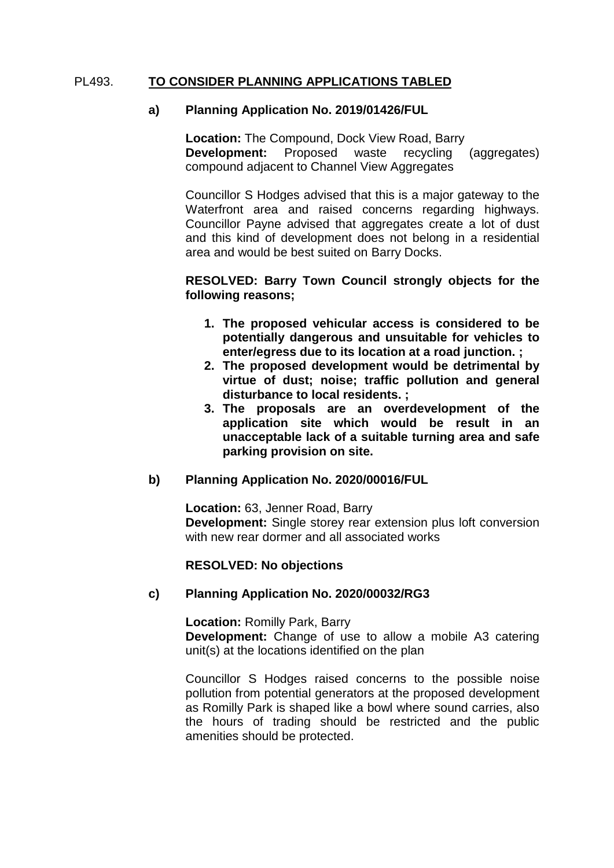# PL493. **TO CONSIDER PLANNING APPLICATIONS TABLED**

## **a) Planning Application No. 2019/01426/FUL**

**Location:** The Compound, Dock View Road, Barry **Development:** Proposed waste recycling (aggregates) compound adjacent to Channel View Aggregates

Councillor S Hodges advised that this is a major gateway to the Waterfront area and raised concerns regarding highways. Councillor Payne advised that aggregates create a lot of dust and this kind of development does not belong in a residential area and would be best suited on Barry Docks.

## **RESOLVED: Barry Town Council strongly objects for the following reasons;**

- **1. The proposed vehicular access is considered to be potentially dangerous and unsuitable for vehicles to enter/egress due to its location at a road junction. ;**
- **2. The proposed development would be detrimental by virtue of dust; noise; traffic pollution and general disturbance to local residents. ;**
- **3. The proposals are an overdevelopment of the application site which would be result in an unacceptable lack of a suitable turning area and safe parking provision on site.**

#### **b) Planning Application No. 2020/00016/FUL**

**Location:** 63, Jenner Road, Barry **Development:** Single storey rear extension plus loft conversion with new rear dormer and all associated works

#### **RESOLVED: No objections**

#### **c) Planning Application No. 2020/00032/RG3**

**Location:** Romilly Park, Barry

**Development:** Change of use to allow a mobile A3 catering unit(s) at the locations identified on the plan

Councillor S Hodges raised concerns to the possible noise pollution from potential generators at the proposed development as Romilly Park is shaped like a bowl where sound carries, also the hours of trading should be restricted and the public amenities should be protected.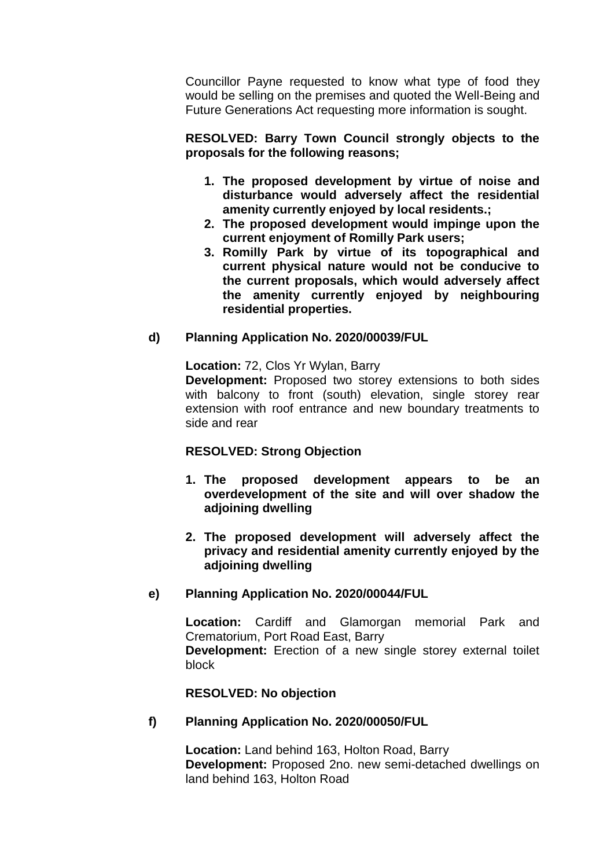Councillor Payne requested to know what type of food they would be selling on the premises and quoted the Well-Being and Future Generations Act requesting more information is sought.

**RESOLVED: Barry Town Council strongly objects to the proposals for the following reasons;**

- **1. The proposed development by virtue of noise and disturbance would adversely affect the residential amenity currently enjoyed by local residents.;**
- **2. The proposed development would impinge upon the current enjoyment of Romilly Park users;**
- **3. Romilly Park by virtue of its topographical and current physical nature would not be conducive to the current proposals, which would adversely affect the amenity currently enjoyed by neighbouring residential properties.**

# **d) Planning Application No. 2020/00039/FUL**

**Location:** 72, Clos Yr Wylan, Barry

**Development:** Proposed two storey extensions to both sides with balcony to front (south) elevation, single storey rear extension with roof entrance and new boundary treatments to side and rear

# **RESOLVED: Strong Objection**

- **1. The proposed development appears to be an overdevelopment of the site and will over shadow the adjoining dwelling**
- **2. The proposed development will adversely affect the privacy and residential amenity currently enjoyed by the adjoining dwelling**

# **e) Planning Application No. 2020/00044/FUL**

**Location:** Cardiff and Glamorgan memorial Park and Crematorium, Port Road East, Barry **Development:** Erection of a new single storey external toilet block

# **RESOLVED: No objection**

# **f) Planning Application No. 2020/00050/FUL**

**Location:** Land behind 163, Holton Road, Barry **Development:** Proposed 2no. new semi-detached dwellings on land behind 163, Holton Road